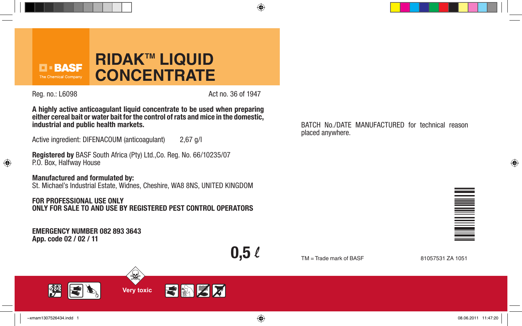

 $\bigoplus$ 

Reg. no.: L6098 **Act no. 36 of 1947** 

 $\bigoplus$ 

**A highly active anticoagulant liquid concentrate to be used when preparing either cereal bait or water bait for the control of rats and mice in the domestic, industrial and public health markets.**

Active ingredient: DIFENACOUM (anticoagulant) 2,67 g/l

**Registered by** BASF South Africa (Pty) Ltd.,Co. Reg. No. 66/10235/07 P.O. Box, Halfway House

# **Manufactured and formulated by:**

St. Michael's Industrial Estate, Widnes, Cheshire, WA8 8NS, UNITED KINGDOM

## **FOR PROFESSIONAL USE ONLY ONLY FOR SALE TO AND USE BY REGISTERED PEST CONTROL OPERATORS**

 $\mathbb{R}$ 

**EMERGENCY NUMBER 082 893 3643 App. code 02 / 02 / 11**

 $0,5\ell$ 

TM = Trade mark of BASF 81057531 ZA 1051

placed anywhere.

BATCH No./DATE MANUFACTURED for technical reason





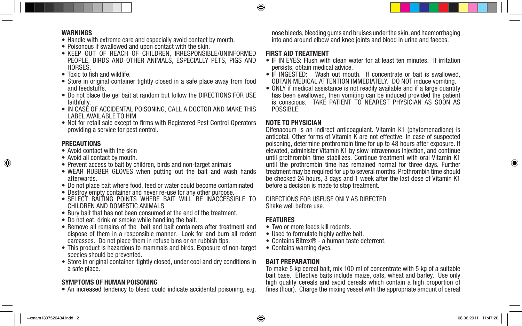

- Handle with extreme care and especially avoid contact by mouth.
- Poisonous if swallowed and upon contact with the skin.
- • KEEP OUT OF REACH OF CHILDREN, IRRESPONSIBLE/UNINFORMED PEOPLE, BIRDS AND OTHER ANIMALS, ESPECIALLY PETS, PIGS AND HORSES.
- Toxic to fish and wildlife.
- Store in original container tightly closed in a safe place away from food and feedstuffs.
- Do not place the gel bait at random but follow the DIRECTIONS FOR USE faithfully.
- IN CASE OF ACCIDENTAL POISONING, CALL A DOCTOR AND MAKE THIS LABEL AVAILABLE TO HIM.
- Not for retail sale except to firms with Registered Pest Control Operators providing a service for pest control.

## **PRECAUTIONS**

- Avoid contact with the skin
- Avoid all contact by mouth.
- Prevent access to bait by children, birds and non-target animals
- WEAR RUBBER GLOVES when putting out the bait and wash hands afterwards.
- Do not place bait where food, feed or water could become contaminated
- Destroy empty container and never re-use for any other purpose.
- SELECT BAITING POINTS WHERE BAIT WILL BE INACCESSIBLE TO CHILDREN AND DOMESTIC ANIMALS.
- Bury bait that has not been consumed at the end of the treatment.
- Do not eat, drink or smoke while handling the bait.
- Remove all remains of the bait and bait containers after treatment and dispose of them in a responsible manner. Look for and burn all rodent carcasses. Do not place them in refuse bins or on rubbish tips.
- This product is hazardous to mammals and birds. Exposure of non-target species should be prevented.
- Store in original container, tightly closed, under cool and dry conditions in a safe place.

### **SYMPTOMS OF HUMAN POISONING**

• An increased tendency to bleed could indicate accidental poisoning, e.g.

nose bleeds, bleeding gums and bruises under the skin, and haemorrhaging into and around elbow and knee joints and blood in urine and faeces.

### **FIRST AID TREATMENT**

◈

- IF IN EYES: Flush with clean water for at least ten minutes. If irritation persists, obtain medical advice.
- IF INGESTED: Wash out mouth. If concentrate or bait is swallowed. OBTAIN MEDICAL ATTENTION IMMEDIATELY. DO NOT induce vomiting.
- ONLY if medical assistance is not readily available and if a large quantity has been swallowed, then vomiting can be induced provided the patient is conscious. TAKE PATIENT TO NEAREST PHYSICIAN AS SOON AS POSSIBLE.

## **NOTE TO PHYSICIAN**

Difenacoum is an indirect anticoagulant. Vitamin K1 (phytomenadione) is antidotal. Other forms of Vitamin K are not effective. In case of suspected poisoning, determine prothrombin time for up to 48 hours after exposure. If elevated, administer Vitamin K1 by slow intravenous injection, and continue until prothrombin time stabilizes. Continue treatment with oral Vitamin K1 until the prothrombin time has remained normal for three days. Further treatment may be required for up to several months. Prothrombin time should be checked 24 hours, 3 days and 1 week after the last dose of Vitamin K1 before a decision is made to stop treatment.

DIRECTIONS FOR USEUSE ONLY AS DIRECTED Shake well before use.

#### **FEATURES**

- Two or more feeds kill rodents.
- Used to formulate highly active bait.
- • Contains Bitrex® a human taste deterrent.
- Contains warning dyes.

#### **BAIT PREPARATION**

To make 5 kg cereal bait, mix 100 ml of concentrate with 5 kg of a suitable bait base. Effective baits include maize, oats, wheat and barley. Use only high quality cereals and avoid cereals which contain a high proportion of fines (flour). Charge the mixing vessel with the appropriate amount of cereal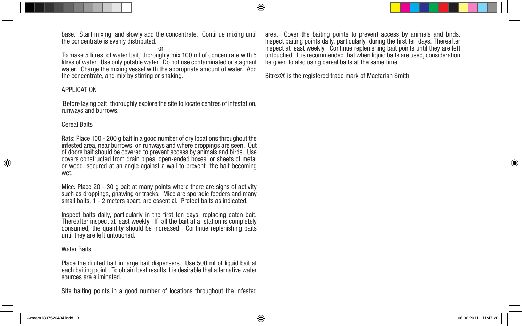base. Start mixing, and slowly add the concentrate. Continue mixing until the concentrate is evenly distributed.

or

To make 5 litres of water bait, thoroughly mix 100 ml of concentrate with 5 litres of water. Use only potable water. Do not use contaminated or stagnant water. Charge the mixing vessel with the appropriate amount of water. Add the concentrate, and mix by stirring or shaking.

#### APPLICATION

Before laying bait, thoroughly explore the site to locate centres of infestation, runways and burrows.

#### Cereal Baits

Rats: Place 100 - 200 g bait in a good number of dry locations throughout the infested area, near burrows, on runways and where droppings are seen. Out of doors bait should be covered to prevent access by animals and birds. Use covers constructed from drain pipes, open-ended boxes, or sheets of metal or wood, secured at an angle against a wall to prevent the bait becoming wet.

Mice: Place 20 - 30 g bait at many points where there are signs of activity such as droppings, gnawing or tracks. Mice are sporadic feeders and many small baits, 1 - 2 meters apart, are essential. Protect baits as indicated.

Inspect baits daily, particularly in the first ten days, replacing eaten bait. Thereafter inspect at least weekly. If all the bait at a station is completely consumed, the quantity should be increased. Continue replenishing baits until they are left untouched.

#### Water Baits

Place the diluted bait in large bait dispensers. Use 500 ml of liquid bait at each baiting point. To obtain best results it is desirable that alternative water sources are eliminated.

Site baiting points in a good number of locations throughout the infested

area. Cover the baiting points to prevent access by animals and birds. Inspect baiting points daily, particularly during the first ten days. Thereafter inspect at least weekly. Continue replenishing bait points until they are left untouched. It is recommended that when liquid baits are used, consideration be given to also using cereal baits at the same time.

Bitrex® is the registered trade mark of Macfarlan Smith

⊕

◈